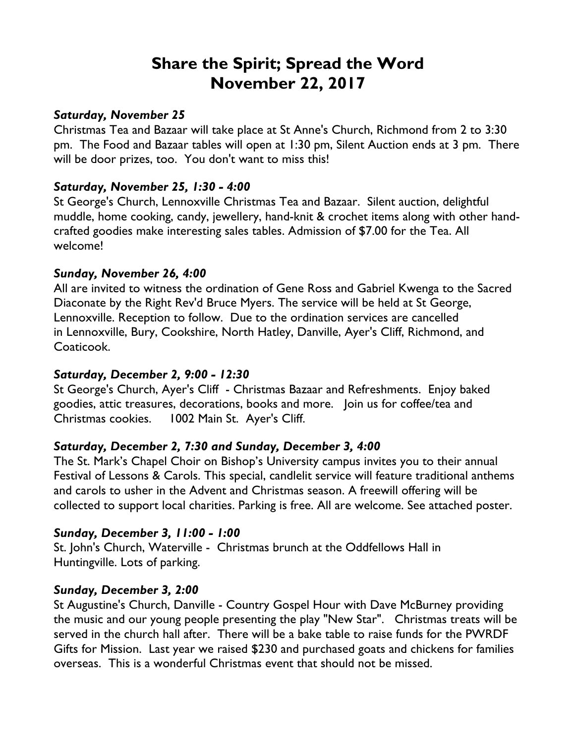# **Share the Spirit; Spread the Word November 22, 2017**

## *Saturday, November 25*

Christmas Tea and Bazaar will take place at St Anne's Church, Richmond from 2 to 3:30 pm. The Food and Bazaar tables will open at 1:30 pm, Silent Auction ends at 3 pm. There will be door prizes, too. You don't want to miss this!

# *Saturday, November 25, 1:30 - 4:00*

St George's Church, Lennoxville Christmas Tea and Bazaar. Silent auction, delightful muddle, home cooking, candy, jewellery, hand-knit & crochet items along with other handcrafted goodies make interesting sales tables. Admission of \$7.00 for the Tea. All welcome!

## *Sunday, November 26, 4:00*

All are invited to witness the ordination of Gene Ross and Gabriel Kwenga to the Sacred Diaconate by the Right Rev'd Bruce Myers. The service will be held at St George, Lennoxville. Reception to follow. Due to the ordination services are cancelled in Lennoxville, Bury, Cookshire, North Hatley, Danville, Ayer's Cliff, Richmond, and Coaticook.

# *Saturday, December 2, 9:00 - 12:30*

St George's Church, Ayer's Cliff - Christmas Bazaar and Refreshments. Enjoy baked goodies, attic treasures, decorations, books and more. Join us for coffee/tea and Christmas cookies. 1002 Main St. Ayer's Cliff.

# *Saturday, December 2, 7:30 and Sunday, December 3, 4:00*

The St. Mark's Chapel Choir on Bishop's University campus invites you to their annual Festival of Lessons & Carols. This special, candlelit service will feature traditional anthems and carols to usher in the Advent and Christmas season. A freewill offering will be collected to support local charities. Parking is free. All are welcome. See attached poster.

# *Sunday, December 3, 11:00 - 1:00*

St. John's Church, Waterville - Christmas brunch at the Oddfellows Hall in Huntingville. Lots of parking.

#### *Sunday, December 3, 2:00*

St Augustine's Church, Danville - Country Gospel Hour with Dave McBurney providing the music and our young people presenting the play "New Star". Christmas treats will be served in the church hall after. There will be a bake table to raise funds for the PWRDF Gifts for Mission. Last year we raised \$230 and purchased goats and chickens for families overseas. This is a wonderful Christmas event that should not be missed.